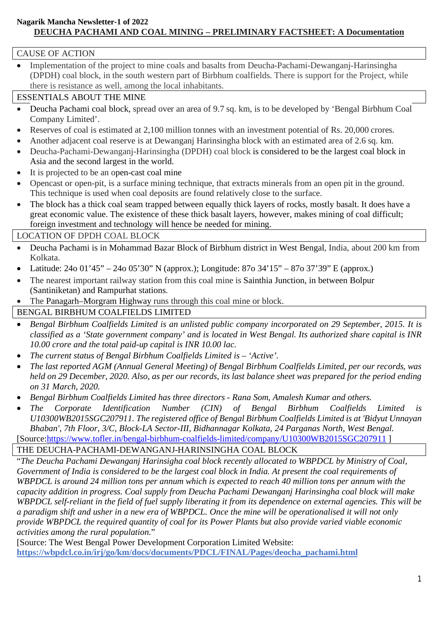## **Nagarik Mancha Newsletter-1 of 2022 DEUCHA PACHAMI AND COAL MINING – PRELIMINARY FACTSHEET: A Documentation**

## CAUSE OF ACTION

 Implementation of the project to mine coals and basalts from Deucha-Pachami-Dewanganj-Harinsingha (DPDH) coal block, in the south western part of Birbhum coalfields. There is support for the Project, while there is resistance as well, among the local inhabitants.

## ESSENTIALS ABOUT THE MINE

- Deucha Pachami coal block, spread over an area of 9.7 sq. km, is to be developed by 'Bengal Birbhum Coal Company Limited'.
- Reserves of coal is estimated at 2,100 million tonnes with an investment potential of Rs. 20,000 crores.
- Another adjacent coal reserve is at Dewanganj Harinsingha block with an estimated area of 2.6 sq. km.
- Deucha-Pachami-Dewanganj-Harinsingha (DPDH) coal block is considered to be the largest coal block in Asia and the second largest in the world.
- It is projected to be an open-cast coal mine
- Opencast or open-pit, is a surface mining technique, that extracts minerals from an open pit in the ground. This technique is used when coal deposits are found relatively close to the surface.
- The block has a thick coal seam trapped between equally thick layers of rocks, mostly basalt. It does have a great economic value. The existence of these thick basalt layers, however, makes mining of coal difficult; foreign investment and technology will hence be needed for mining.

LOCATION OF DPDH COAL BLOCK

- Deucha Pachami is in Mohammad Bazar Block of Birbhum district in West Bengal, India, about 200 km from Kolkata.
- Latitude: 24o 01'45" 24o 05'30" N (approx.); Longitude: 87o 34'15" 87o 37'39" E (approx.)
- The nearest important railway station from this coal mine is Sainthia Junction, in between Bolpur (Santiniketan) and Rampurhat stations.
- The Panagarh–Morgram Highway runs through this coal mine or block.

BENGAL BIRBHUM COALFIELDS LIMITED

- *Bengal Birbhum Coalfields Limited is an unlisted public company incorporated on 29 September, 2015. It is classified as a 'State government company' and is located in West Bengal. Its authorized share capital is INR 10.00 crore and the total paid-up capital is INR 10.00 lac.*
- *The current status of Bengal Birbhum Coalfields Limited is – 'Active'.*
- *The last reported AGM (Annual General Meeting) of Bengal Birbhum Coalfields Limited, per our records, was held on 29 December, 2020. Also, as per our records, its last balance sheet was prepared for the period ending on 31 March, 2020.*
- *Bengal Birbhum Coalfields Limited has three directors - Rana Som, Amalesh Kumar and others.*
- The Corporate Identification Number (CIN) of Bengal Birbhum Coalfields Limited is *U10300WB2015SGC207911. The registered office of Bengal Birbhum Coalfields Limited is at 'Bidyut Unnayan Bhaban', 7th Floor, 3/C, Block-LA Sector-III, Bidhannagar Kolkata, 24 Parganas North, West Bengal.* [Source:https://www.tofler.in/bengal-birbhum-coalfields-limited/company/U10300WB2015SGC207911 ]

THE DEUCHA-PACHAMI-DEWANGANJ-HARINSINGHA COAL BLOCK

"*The Deucha Pachami Dewanganj Harinsigha coal block recently allocated to WBPDCL by Ministry of Coal, Government of India is considered to be the largest coal block in India. At present the coal requirements of WBPDCL is around 24 million tons per annum which is expected to reach 40 million tons per annum with the capacity addition in progress. Coal supply from Deucha Pachami Dewanganj Harinsingha coal block will make WBPDCL self-reliant in the field of fuel supply liberating it from its dependence on external agencies. This will be a paradigm shift and usher in a new era of WBPDCL. Once the mine will be operationalised it will not only provide WBPDCL the required quantity of coal for its Power Plants but also provide varied viable economic activities among the rural population*."

[Source: The West Bengal Power Development Corporation Limited Website: **https://wbpdcl.co.in/irj/go/km/docs/documents/PDCL/FINAL/Pages/deocha\_pachami.html**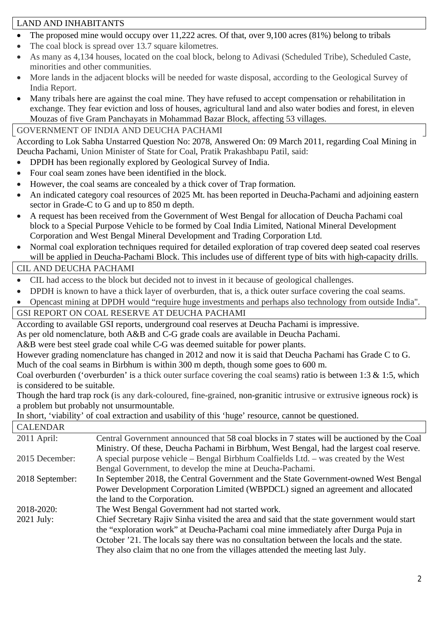## LAND AND INHABITANTS

- The proposed mine would occupy over 11,222 acres. Of that, over 9,100 acres (81%) belong to tribals
- The coal block is spread over 13.7 square kilometres.
- As many as 4,134 houses, located on the coal block, belong to Adivasi (Scheduled Tribe), Scheduled Caste, minorities and other communities.
- More lands in the adjacent blocks will be needed for waste disposal, according to the Geological Survey of India Report.
- Many tribals here are against the coal mine. They have refused to accept compensation or rehabilitation in exchange. They fear eviction and loss of houses, agricultural land and also water bodies and forest, in eleven Mouzas of five Gram Panchayats in Mohammad Bazar Block, affecting 53 villages.

# GOVERNMENT OF INDIA AND DEUCHA PACHAMI

According to Lok Sabha Unstarred Question No: 2078, Answered On: 09 March 2011, regarding Coal Mining in Deucha Pachami, Union Minister of State for Coal, Pratik Prakashbapu Patil, said:

- DPDH has been regionally explored by Geological Survey of India.
- Four coal seam zones have been identified in the block.
- However, the coal seams are concealed by a thick cover of Trap formation.
- An indicated category coal resources of 2025 Mt. has been reported in Deucha-Pachami and adjoining eastern sector in Grade-C to G and up to 850 m depth.
- A request has been received from the Government of West Bengal for allocation of Deucha Pachami coal block to a Special Purpose Vehicle to be formed by Coal India Limited, National Mineral Development Corporation and West Bengal Mineral Development and Trading Corporation Ltd.
- Normal coal exploration techniques required for detailed exploration of trap covered deep seated coal reserves will be applied in Deucha-Pachami Block. This includes use of different type of bits with high-capacity drills.

# CIL AND DEUCHA PACHAMI

- CIL had access to the block but decided not to invest in it because of geological challenges.
- DPDH is known to have a thick layer of overburden, that is, a thick outer surface covering the coal seams.
- Opencast mining at DPDH would "require huge investments and perhaps also technology from outside India".

GSI REPORT ON COAL RESERVE AT DEUCHA PACHAMI

According to available GSI reports, underground coal reserves at Deucha Pachami is impressive.

As per old nomenclature, both A&B and C-G grade coals are available in Deucha Pachami.

A&B were best steel grade coal while C-G was deemed suitable for power plants.

However grading nomenclature has changed in 2012 and now it is said that Deucha Pachami has Grade C to G. Much of the coal seams in Birbhum is within 300 m depth, though some goes to 600 m.

Coal overburden ('overburden' is a thick outer surface covering the coal seams) ratio is between 1:3 & 1:5, which is considered to be suitable.

Though the hard trap rock (is any dark-coloured, fine-grained, non-granitic intrusive or extrusive igneous rock) is a problem but probably not unsurmountable.

In short, 'viability' of coal extraction and usability of this 'huge' resource, cannot be questioned.

| <b>CALENDAR</b> |                                                                                             |
|-----------------|---------------------------------------------------------------------------------------------|
| $2011$ April:   | Central Government announced that 58 coal blocks in 7 states will be auctioned by the Coal  |
|                 | Ministry. Of these, Deucha Pachami in Birbhum, West Bengal, had the largest coal reserve.   |
| 2015 December:  | A special purpose vehicle – Bengal Birbhum Coalfields Ltd. – was created by the West        |
|                 | Bengal Government, to develop the mine at Deucha-Pachami.                                   |
| 2018 September: | In September 2018, the Central Government and the State Government-owned West Bengal        |
|                 | Power Development Corporation Limited (WBPDCL) signed an agreement and allocated            |
|                 | the land to the Corporation.                                                                |
| 2018-2020:      | The West Bengal Government had not started work.                                            |
| $2021$ July:    | Chief Secretary Rajiv Sinha visited the area and said that the state government would start |
|                 | the "exploration work" at Deucha-Pachami coal mine immediately after Durga Puja in          |
|                 | October '21. The locals say there was no consultation between the locals and the state.     |
|                 | They also claim that no one from the villages attended the meeting last July.               |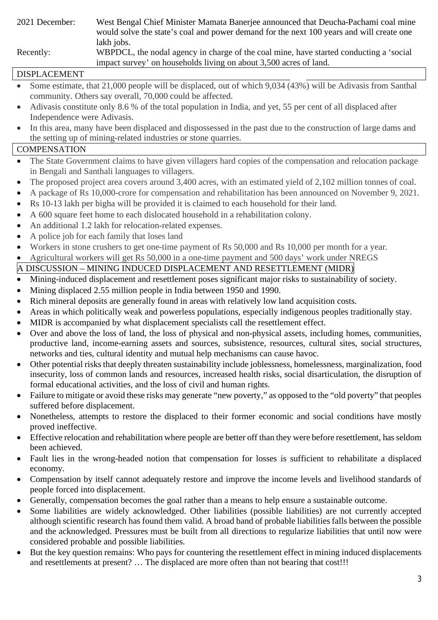2021 December: West Bengal Chief Minister Mamata Banerjee announced that Deucha-Pachami coal mine would solve the state's coal and power demand for the next 100 years and will create one lakh jobs. Recently: WBPDCL, the nodal agency in charge of the coal mine, have started conducting a 'social impact survey' on households living on about 3,500 acres of land.

# DISPLACEMENT

- Some estimate, that 21,000 people will be displaced, out of which 9,034 (43%) will be Adivasis from Santhal community. Others say overall, 70,000 could be affected.
- Adivasis constitute only 8.6 % of the total population in India, and yet, 55 per cent of all displaced after Independence were Adivasis.
- In this area, many have been displaced and dispossessed in the past due to the construction of large dams and the setting up of mining-related industries or stone quarries.

#### **COMPENSATION**

- The State Government claims to have given villagers hard copies of the compensation and relocation package in Bengali and Santhali languages to villagers.
- The proposed project area covers around 3,400 acres, with an estimated yield of 2,102 million tonnes of coal.
- A package of Rs 10,000-crore for compensation and rehabilitation has been announced on November 9, 2021.
- Rs 10-13 lakh per bigha will be provided it is claimed to each household for their land.
- A 600 square feet home to each dislocated household in a rehabilitation colony.
- An additional 1.2 lakh for relocation-related expenses.
- A police job for each family that loses land
- Workers in stone crushers to get one-time payment of Rs 50,000 and Rs 10,000 per month for a year.
- Agricultural workers will get Rs 50,000 in a one-time payment and 500 days' work under NREGS

# A DISCUSSION – MINING INDUCED DISPLACEMENT AND RESETTLEMENT (MIDR)

- Mining-induced displacement and resettlement poses significant major risks to sustainability of society.
- Mining displaced 2.55 million people in India between 1950 and 1990.
- Rich mineral deposits are generally found in areas with relatively low land acquisition costs.
- Areas in which politically weak and powerless populations, especially indigenous peoples traditionally stay.
- MIDR is accompanied by what displacement specialists call the resettlement effect.
- Over and above the loss of land, the loss of physical and non-physical assets, including homes, communities, productive land, income-earning assets and sources, subsistence, resources, cultural sites, social structures, networks and ties, cultural identity and mutual help mechanisms can cause havoc.
- Other potential risks that deeply threaten sustainability include joblessness, homelessness, marginalization, food insecurity, loss of common lands and resources, increased health risks, social disarticulation, the disruption of formal educational activities, and the loss of civil and human rights.
- Failure to mitigate or avoid these risks may generate "new poverty," as opposed to the "old poverty" that peoples suffered before displacement.
- Nonetheless, attempts to restore the displaced to their former economic and social conditions have mostly proved ineffective.
- Effective relocation and rehabilitation where people are better off than they were before resettlement, has seldom been achieved.
- Fault lies in the wrong-headed notion that compensation for losses is sufficient to rehabilitate a displaced economy.
- Compensation by itself cannot adequately restore and improve the income levels and livelihood standards of people forced into displacement.
- Generally, compensation becomes the goal rather than a means to help ensure a sustainable outcome.
- Some liabilities are widely acknowledged. Other liabilities (possible liabilities) are not currently accepted although scientific research has found them valid. A broad band of probable liabilities falls between the possible and the acknowledged. Pressures must be built from all directions to regularize liabilities that until now were considered probable and possible liabilities.
- But the key question remains: Who pays for countering the resettlement effect in mining induced displacements and resettlements at present? … The displaced are more often than not bearing that cost!!!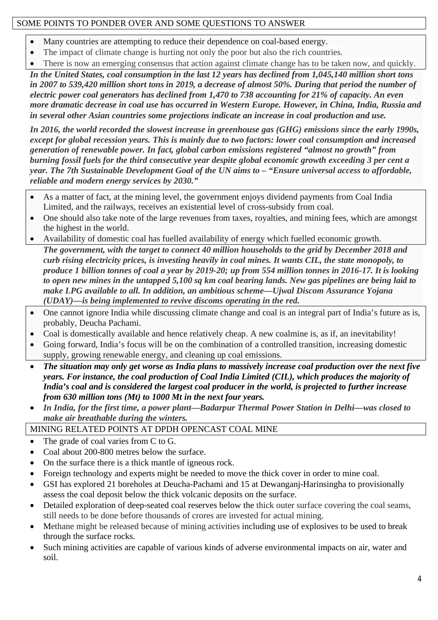### SOME POINTS TO PONDER OVER AND SOME QUESTIONS TO ANSWER

- Many countries are attempting to reduce their dependence on coal-based energy.
- The impact of climate change is hurting not only the poor but also the rich countries.
- There is now an emerging consensus that action against climate change has to be taken now, and quickly.

*In the United States, coal consumption in the last 12 years has declined from 1,045,140 million short tons in 2007 to 539,420 million short tons in 2019, a decrease of almost 50%. During that period the number of electric power coal generators has declined from 1,470 to 738 accounting for 21% of capacity. An even more dramatic decrease in coal use has occurred in Western Europe. However, in China, India, Russia and in several other Asian countries some projections indicate an increase in coal production and use.* 

*In 2016, the world recorded the slowest increase in greenhouse gas (GHG) emissions since the early 1990s, except for global recession years. This is mainly due to two factors: lower coal consumption and increased generation of renewable power. In fact, global carbon emissions registered "almost no growth" from burning fossil fuels for the third consecutive year despite global economic growth exceeding 3 per cent a year. The 7th Sustainable Development Goal of the UN aims to – "Ensure universal access to affordable, reliable and modern energy services by 2030."* 

- As a matter of fact, at the mining level, the government enjoys dividend payments from Coal India Limited, and the railways, receives an existential level of cross-subsidy from coal.
- One should also take note of the large revenues from taxes, royalties, and mining fees, which are amongst the highest in the world.
- Availability of domestic coal has fuelled availability of energy which fuelled economic growth. *The government, with the target to connect 40 million households to the grid by December 2018 and curb rising electricity prices, is investing heavily in coal mines. It wants CIL, the state monopoly, to produce 1 billion tonnes of coal a year by 2019-20; up from 554 million tonnes in 2016-17. It is looking to open new mines in the untapped 5,100 sq km coal bearing lands. New gas pipelines are being laid to make LPG available to all. In addition, an ambitious scheme—Ujwal Discom Assurance Yojana (UDAY)—is being implemented to revive discoms operating in the red.*
- One cannot ignore India while discussing climate change and coal is an integral part of India's future as is, probably, Deucha Pachami.
- Coal is domestically available and hence relatively cheap. A new coalmine is, as if, an inevitability!
- Going forward, India's focus will be on the combination of a controlled transition, increasing domestic supply, growing renewable energy, and cleaning up coal emissions.
- *The situation may only get worse as India plans to massively increase coal production over the next five years. For instance, the coal production of Coal India Limited (CIL), which produces the majority of India's coal and is considered the largest coal producer in the world, is projected to further increase from 630 million tons (Mt) to 1000 Mt in the next four years.*
- *In India, for the first time, a power plant—Badarpur Thermal Power Station in Delhi—was closed to make air breathable during the winters.*

## MINING RELATED POINTS AT DPDH OPENCAST COAL MINE

- The grade of coal varies from C to G.
- Coal about 200-800 metres below the surface.
- On the surface there is a thick mantle of igneous rock.
- Foreign technology and experts might be needed to move the thick cover in order to mine coal.
- GSI has explored 21 boreholes at Deucha-Pachami and 15 at Dewanganj-Harinsingha to provisionally assess the coal deposit below the thick volcanic deposits on the surface.
- Detailed exploration of deep-seated coal reserves below the thick outer surface covering the coal seams, still needs to be done before thousands of crores are invested for actual mining.
- Methane might be released because of mining activities including use of explosives to be used to break through the surface rocks.
- Such mining activities are capable of various kinds of adverse environmental impacts on air, water and soil.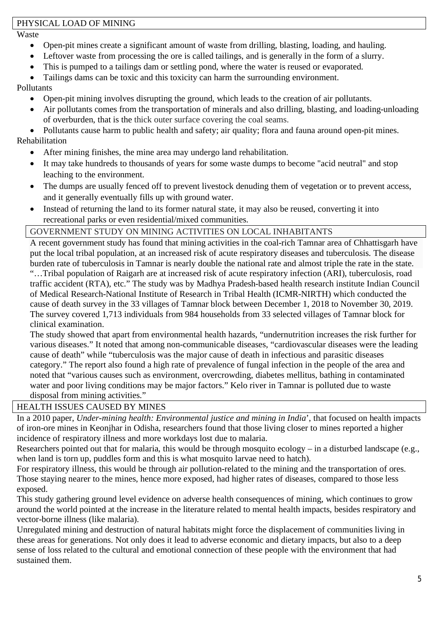#### PHYSICAL LOAD OF MINING

Waste

- Open-pit mines create a significant amount of waste from drilling, blasting, loading, and hauling.
- Leftover waste from processing the ore is called tailings, and is generally in the form of a slurry.
- This is pumped to a tailings dam or settling pond, where the water is reused or evaporated.
- Tailings dams can be toxic and this toxicity can harm the surrounding environment.

Pollutants

- Open-pit mining involves disrupting the ground, which leads to the creation of air pollutants.
- Air pollutants comes from the transportation of minerals and also drilling, blasting, and loading-unloading of overburden, that is the thick outer surface covering the coal seams.

 Pollutants cause harm to public health and safety; air quality; flora and fauna around open-pit mines. Rehabilitation

- After mining finishes, the mine area may undergo land rehabilitation.
- It may take hundreds to thousands of years for some waste dumps to become "acid neutral" and stop leaching to the environment.
- The dumps are usually fenced off to prevent livestock denuding them of vegetation or to prevent access, and it generally eventually fills up with ground water.
- Instead of returning the land to its former natural state, it may also be reused, converting it into recreational parks or even residential/mixed communities.

## GOVERNMENT STUDY ON MINING ACTIVITIES ON LOCAL INHABITANTS

A recent government study has found that mining activities in the coal-rich Tamnar area of Chhattisgarh have put the local tribal population, at an increased risk of acute respiratory diseases and tuberculosis. The disease burden rate of tuberculosis in Tamnar is nearly double the national rate and almost triple the rate in the state. "…Tribal population of Raigarh are at increased risk of acute respiratory infection (ARI), tuberculosis, road traffic accident (RTA), etc." The study was by Madhya Pradesh-based health research institute Indian Council of Medical Research-National Institute of Research in Tribal Health (ICMR-NIRTH) which conducted the cause of death survey in the 33 villages of Tamnar block between December 1, 2018 to November 30, 2019. The survey covered 1,713 individuals from 984 households from 33 selected villages of Tamnar block for clinical examination.

The study showed that apart from environmental health hazards, "undernutrition increases the risk further for various diseases." It noted that among non-communicable diseases, "cardiovascular diseases were the leading cause of death" while "tuberculosis was the major cause of death in infectious and parasitic diseases category." The report also found a high rate of prevalence of fungal infection in the people of the area and noted that "various causes such as environment, overcrowding, diabetes mellitus, bathing in contaminated water and poor living conditions may be major factors." Kelo river in Tamnar is polluted due to waste disposal from mining activities."

# HEALTH ISSUES CAUSED BY MINES

In a 2010 paper, *Under-mining health: Environmental justice and mining in India*', that focused on health impacts of iron-ore mines in Keonjhar in Odisha, researchers found that those living closer to mines reported a higher incidence of respiratory illness and more workdays lost due to malaria.

Researchers pointed out that for malaria, this would be through mosquito ecology – in a disturbed landscape (e.g., when land is torn up, puddles form and this is what mosquito larvae need to hatch).

For respiratory illness, this would be through air pollution-related to the mining and the transportation of ores. Those staying nearer to the mines, hence more exposed, had higher rates of diseases, compared to those less exposed.

This study gathering ground level evidence on adverse health consequences of mining, which continues to grow around the world pointed at the increase in the literature related to mental health impacts, besides respiratory and vector-borne illness (like malaria).

Unregulated mining and destruction of natural habitats might force the displacement of communities living in these areas for generations. Not only does it lead to adverse economic and dietary impacts, but also to a deep sense of loss related to the cultural and emotional connection of these people with the environment that had sustained them.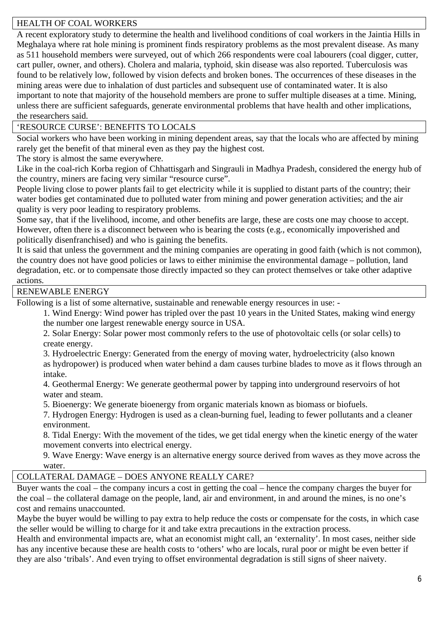### HEALTH OF COAL WORKERS

A recent exploratory study to determine the health and livelihood conditions of coal workers in the Jaintia Hills in Meghalaya where rat hole mining is prominent finds respiratory problems as the most prevalent disease. As many as 511 household members were surveyed, out of which 266 respondents were coal labourers (coal digger, cutter, cart puller, owner, and others). Cholera and malaria, typhoid, skin disease was also reported. Tuberculosis was found to be relatively low, followed by vision defects and broken bones. The occurrences of these diseases in the mining areas were due to inhalation of dust particles and subsequent use of contaminated water. It is also important to note that majority of the household members are prone to suffer multiple diseases at a time. Mining, unless there are sufficient safeguards, generate environmental problems that have health and other implications, the researchers said.

### 'RESOURCE CURSE': BENEFITS TO LOCALS

Social workers who have been working in mining dependent areas, say that the locals who are affected by mining rarely get the benefit of that mineral even as they pay the highest cost.

The story is almost the same everywhere.

Like in the coal-rich Korba region of Chhattisgarh and Singrauli in Madhya Pradesh, considered the energy hub of the country, miners are facing very similar "resource curse".

People living close to power plants fail to get electricity while it is supplied to distant parts of the country; their water bodies get contaminated due to polluted water from mining and power generation activities; and the air quality is very poor leading to respiratory problems.

Some say, that if the livelihood, income, and other benefits are large, these are costs one may choose to accept. However, often there is a disconnect between who is bearing the costs (e.g., economically impoverished and politically disenfranchised) and who is gaining the benefits.

It is said that unless the government and the mining companies are operating in good faith (which is not common), the country does not have good policies or laws to either minimise the environmental damage – pollution, land degradation, etc. or to compensate those directly impacted so they can protect themselves or take other adaptive actions.

#### RENEWABLE ENERGY

Following is a list of some alternative, sustainable and renewable energy resources in use: -

1. Wind Energy: Wind power has tripled over the past 10 years in the United States, making wind energy the number one largest renewable energy source in USA.

2. Solar Energy: Solar power most commonly refers to the use of photovoltaic cells (or solar cells) to create energy.

3. Hydroelectric Energy: Generated from the energy of moving water, hydroelectricity (also known as hydropower) is produced when water behind a dam causes turbine blades to move as it flows through an intake.

4. Geothermal Energy: We generate geothermal power by tapping into underground reservoirs of hot water and steam.

5. Bioenergy: We generate bioenergy from organic materials known as biomass or biofuels.

7. Hydrogen Energy: Hydrogen is used as a clean-burning fuel, leading to fewer pollutants and a cleaner environment.

8. Tidal Energy: With the movement of the tides, we get tidal energy when the kinetic energy of the water movement converts into electrical energy.

9. Wave Energy: Wave energy is an alternative energy source derived from waves as they move across the water.

#### COLLATERAL DAMAGE – DOES ANYONE REALLY CARE?

Buyer wants the coal – the company incurs a cost in getting the coal – hence the company charges the buyer for the coal – the collateral damage on the people, land, air and environment, in and around the mines, is no one's cost and remains unaccounted.

Maybe the buyer would be willing to pay extra to help reduce the costs or compensate for the costs, in which case the seller would be willing to charge for it and take extra precautions in the extraction process.

Health and environmental impacts are, what an economist might call, an 'externality'. In most cases, neither side has any incentive because these are health costs to 'others' who are locals, rural poor or might be even better if they are also 'tribals'. And even trying to offset environmental degradation is still signs of sheer naivety.